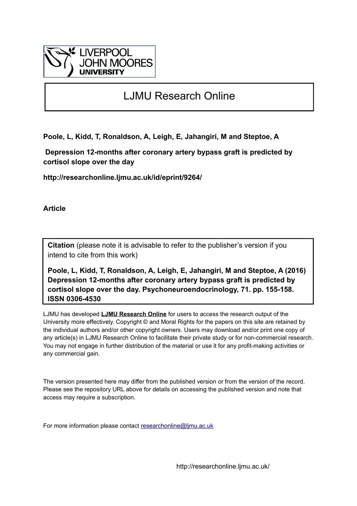

## LJMU Research Online

**Poole, L, Kidd, T, Ronaldson, A, Leigh, E, Jahangiri, M and Steptoe, A**

 **Depression 12-months after coronary artery bypass graft is predicted by cortisol slope over the day**

**http://researchonline.ljmu.ac.uk/id/eprint/9264/**

**Article**

**Citation** (please note it is advisable to refer to the publisher's version if you intend to cite from this work)

**Poole, L, Kidd, T, Ronaldson, A, Leigh, E, Jahangiri, M and Steptoe, A (2016) Depression 12-months after coronary artery bypass graft is predicted by cortisol slope over the day. Psychoneuroendocrinology, 71. pp. 155-158. ISSN 0306-4530** 

LJMU has developed **[LJMU Research Online](http://researchonline.ljmu.ac.uk/)** for users to access the research output of the University more effectively. Copyright © and Moral Rights for the papers on this site are retained by the individual authors and/or other copyright owners. Users may download and/or print one copy of any article(s) in LJMU Research Online to facilitate their private study or for non-commercial research. You may not engage in further distribution of the material or use it for any profit-making activities or any commercial gain.

The version presented here may differ from the published version or from the version of the record. Please see the repository URL above for details on accessing the published version and note that access may require a subscription.

For more information please contact [researchonline@ljmu.ac.uk](mailto:researchonline@ljmu.ac.uk)

http://researchonline.ljmu.ac.uk/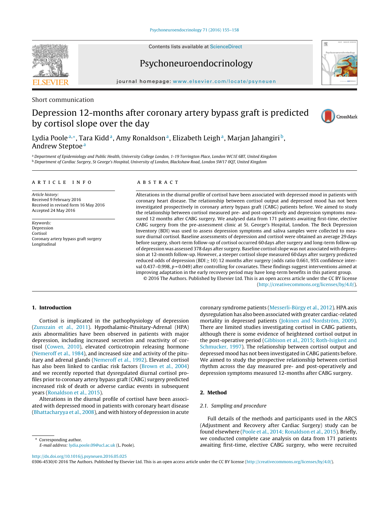Contents lists available at [ScienceDirect](http://www.sciencedirect.com/science/journal/03064530)

# **SEVIE**

iournal homepage: [www.elsevier.com/locate/psyneuen](http://www.elsevier.com/locate/psyneuen)

Psychoneuroendocrinology

#### Short communication

### Depression 12-months after coronary artery bypass graft is predicted by cortisol slope over the day



Lydia Poole<sup>a,∗</sup>, Tara Kidd<sup>a</sup>, Amy Ronaldson<sup>a</sup>, Elizabeth Leigh<sup>a</sup>, Marjan Jahangiri<sup>b</sup>, Andrew Steptoe<sup>a</sup>

<sup>a</sup> Department of Epidemiology and Public Health, University College London, 1-19 Torrington Place, London WC1E 6BT, United Kingdom <sup>b</sup> Department of Cardiac Surgery, St George's Hospital, University of London, Blackshaw Road, London SW17 0QT, United Kingdom

#### a r t i c l e i n f o

Article history: Received 9 February 2016 Received in revised form 16 May 2016 Accepted 24 May 2016

Keywords: Depression Cortisol Coronary artery bypass graft surgery Longitudinal

#### A B S T R A C T

Alterations in the diurnal profile of cortisol have been associated with depressed mood in patients with coronary heart disease. The relationship between cortisol output and depressed mood has not been investigated prospectively in coronary artery bypass graft (CABG) patients before. We aimed to study the relationship between cortisol measured pre- and post-operatively and depression symptoms measured 12 months after CABG surgery. We analysed data from 171 patients awaiting first-time, elective CABG surgery from the pre-assessment clinic at St. George's Hospital, London. The Beck Depression Inventory (BDI) was used to assess depression symptoms and saliva samples were collected to measure diurnal cortisol. Baseline assessments of depression and cortisol were obtained an average 29 days before surgery, short-term follow-up of cortisol occurred 60 days after surgery and long-term follow-up of depression was assessed 378 days after surgery. Baseline cortisol slope was not associated with depression at 12-month follow-up. However, a steeper cortisol slope measured 60 days after surgery predicted reduced odds of depression (BDI  $\geq$  10) 12 months after surgery (odds ratio 0.661, 95% confidence interval 0.437–0.998,  $p = 0.049$ ) after controlling for covariates. These findings suggest interventions aimed at improving adaptation in the early recovery period may have long-term benefits in this patient group.

© 2016 The Authors. Published by Elsevier Ltd. This is an open access article under the CC BY license [\(http://creativecommons.org/licenses/by/4.0/](http://creativecommons.org/licenses/by/4.0/)).

#### **1. Introduction**

Cortisol is implicated in the pathophysiology of depression ([Zunszain](#page-4-0) et [al.,](#page-4-0) [2011\).](#page-4-0) Hypothalamic-Pituitary-Adrenal (HPA) axis abnormalities have been observed in patients with major depression, including increased secretion and reactivity of cortisol ([Cowen,](#page-4-0) [2010\),](#page-4-0) elevated corticotropin releasing hormone ([Nemeroff](#page-4-0) et [al.,](#page-4-0) [1984\),](#page-4-0) and increased size and activity of the pituitary and adrenal glands ([Nemeroff](#page-4-0) et [al.,](#page-4-0) [1992\).](#page-4-0) Elevated cortisol has also been linked to cardiac risk factors ([Brown](#page-4-0) et [al.,](#page-4-0) [2004\)](#page-4-0) and we recently reported that dysregulated diurnal cortisol profiles prior to coronary artery bypass graft (CABG) surgery predicted increased risk of death or adverse cardiac events in subsequent years [\(Ronaldson](#page-4-0) et [al.,](#page-4-0) [2015\).](#page-4-0)

Alterations in the diurnal profile of cortisol have been associated with depressed mood in patients with coronary heart disease ([Bhattacharyya](#page-4-0) et [al.,](#page-4-0) [2008\),](#page-4-0) and with history of depression in acute

Corresponding author. E-mail address: [lydia.poole.09@ucl.ac.uk](mailto:lydia.poole.09@ucl.ac.uk) (L. Poole). coronary syndrome patients ([Messerli-Bürgy](#page-4-0) et [al.,](#page-4-0) [2012\).](#page-4-0) HPA axis dysregulation has also been associated with greater cardiac-related mortality in depressed patients [\(Jokinen](#page-4-0) [and](#page-4-0) [Nordström,](#page-4-0) [2009\).](#page-4-0) There are limited studies investigating cortisol in CABG patients, although there is some evidence of heightened cortisol output in the post-operative period [\(Gibbison](#page-4-0) et [al.,](#page-4-0) [2015;](#page-4-0) [Roth-Isigkeit](#page-4-0) [and](#page-4-0) [Schmucker,](#page-4-0) [1997\).](#page-4-0) The relationship between cortisol output and depressed mood has not been investigated in CABG patients before. We aimed to study the prospective relationship between cortisol rhythm across the day measured pre- and post-operatively and depression symptoms measured 12-months after CABG surgery.

#### **2. Method**

#### 2.1. Sampling and procedure

Full details of the methods and participants used in the ARCS (Adjustment and Recovery after Cardiac Surgery) study can be found elsewhere [\(Poole](#page-4-0) et [al.,](#page-4-0) [2014;](#page-4-0) [Ronaldson](#page-4-0) et [al.,](#page-4-0) [2015\).](#page-4-0) Briefly, we conducted complete case analysis on data from 171 patients awaiting first-time, elective CABG surgery, who were recruited

[http://dx.doi.org/10.1016/j.psyneuen.2016.05.025](dx.doi.org/10.1016/j.psyneuen.2016.05.025)

0306-4530/© 2016 The Authors. Published by Elsevier Ltd. This is an open access article under the CC BY license ([http://creativecommons.org/licenses/by/4.0/\)](http://creativecommons.org/licenses/by/4.0/).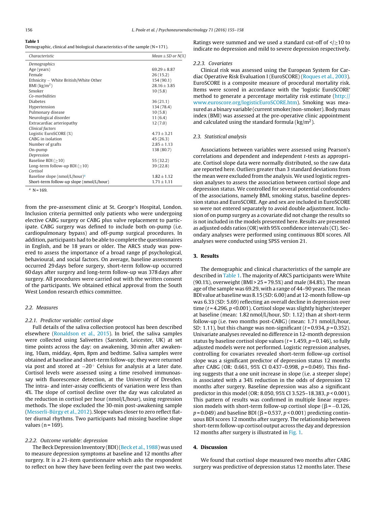**Table 1**

Demographic, clinical and biological characteristics of the sample  $(N = 171)$ .

| Characteristic                            | Mean $\pm$ SD or N(%) |
|-------------------------------------------|-----------------------|
| Demographics                              |                       |
| Age (years)                               | $69.29 \pm 8.87$      |
| Female                                    | 26(15.2)              |
| Ethnicity - White British/White Other     | 154(90.1)             |
| BMI $\left(\frac{kg}{m^2}\right)$         | $28.16 + 3.85$        |
| Smoker                                    | 10(5.8)               |
| Co-morbidities                            |                       |
| <b>Diabetes</b>                           | 36(21.1)              |
| Hypertension                              | 134 (78.4)            |
| Pulmonary disease                         | 10(5.8)               |
| Neurological disorder                     | 11(6.4)               |
| Extracardiac arteriopathy                 | 12(7.0)               |
| Clinical factors                          |                       |
| Logistic EuroSCORE (%)                    | $4.73 + 3.21$         |
| CABG in isolation                         | 45 (26.3)             |
| Number of grafts                          | $2.85 + 1.13$         |
| On-pump                                   | 138 (80.7)            |
| Depression                                |                       |
| Baseline BDI $(≥10)$                      | 55 (32.2)             |
| Long-term follow-up BDI ( $\geq$ 10)      | 39 (22.8)             |
| Cortisol                                  |                       |
| Baseline slope (nmol/L/hour) <sup>a</sup> | $1.82 + 1.12$         |
| Short-term follow-up slope (nmol/L/hour)  | $1.71 \pm 1.11$       |
|                                           |                       |

 $N = 169$ .

from the pre-assessment clinic at St. George's Hospital, London. Inclusion criteria permitted only patients who were undergoing elective CABG surgery or CABG plus valve replacement to participate. CABG surgery was defined to include both on-pump (i.e. cardiopulmonary bypass) and off-pump surgical procedures. In addition, participants had to be able to complete the questionnaires in English, and be 18 years or older. The ARCS study was powered to assess the importance of a broad range pf psychological, behavioural, and social factors. On average, baseline assessments occurred 29 days before surgery, short-term follow-up occurred 60 days after surgery and long-term follow-up was 378 days after surgery. All procedures were carried out with the written consent of the participants. We obtained ethical approval from the South West London research ethics committee.

#### 2.2. Measures

#### 2.2.1. Predictor variable: cortisol slope

Full details of the saliva collection protocol has been described elsewhere ([Ronaldson](#page-4-0) et [al.,](#page-4-0) [2015\).](#page-4-0) In brief, the saliva samples were collected using Salivettes (Sarstedt, Leicester, UK) at set time points across the day: on awakening, 30 min after awakening, 10am, midday, 4pm, 8pm and bedtime. Saliva samples were obtained at baseline and short-term follow-up; they were returned via post and stored at  $-20^\circ$  Celsius for analysis at a later date. Cortisol levels were assessed using a time resolved immunoassay with fluorescence detection, at the University of Dresden. The intra- and inter-assay coefficients of variation were less than 4%. The slope of cortisol decline over the day was calculated as the reduction in cortisol per hour (nmol/L/hour), using regression methods. The slope excluded the 30-min post-awakening sample ([Messerli-Bürgy](#page-4-0) et [al.,](#page-4-0) [2012\).](#page-4-0) Slope values closer to zero reflect flatter diurnal rhythms. Two participants had missing baseline slope values ( $n = 169$ ).

#### 2.2.2. Outcome variable: depression

The Beck Depression Inventory (BDI)[\(Beck](#page-4-0) et [al.,](#page-4-0) [1988\)](#page-4-0) was used to measure depression symptoms at baseline and 12 months after surgery. It is a 21-item questionnaire which asks the respondent to reflect on how they have been feeling over the past two weeks.

Ratings were summed and we used a standard cut-off of  $\langle \rangle \geq 10$  to indicate no depression and mild to severe depression respectively.

#### 2.2.3. Covariates

Clinical risk was assessed using the European System for Cardiac Operative Risk Evaluation I (EuroSCORE) [\(Roques](#page-4-0) et [al.,](#page-4-0) [2003\).](#page-4-0) EuroSCORE is a composite measure of procedural mortality risk. Items were scored in accordance with the 'logistic EuroSCORE' method to generate a percentage mortality risk estimate [\(http://](http://www.euroscore.org/logisticEuroSCORE.htm) [www.euroscore.org/logisticEuroSCORE.htm\)](http://www.euroscore.org/logisticEuroSCORE.htm). Smoking was measured as a binary variable (current smoker/non-smoker). Body mass index (BMI) was assessed at the pre-operative clinic appointment and calculated using the standard formula ( $\text{kg/m}^2$ ).

#### 2.3. Statistical analysis

Associations between variables were assessed using Pearson's correlations and dependent and independent t-tests as appropriate. Cortisol slope data were normally distributed, so the raw data are reported here. Outliers greater than 3 standard deviations from the mean were excluded from the analysis. We used logistic regression analyses to assess the association between cortisol slope and depression status. We controlled for several potential confounders of the associations, namely BMI, smoking status, baseline depression status and EuroSCORE. Age and sex are included in EuroSCORE so were not entered separately to avoid double adjustment. Inclusion of on pump surgery as a covariate did not change the results so is not included in the models presented here. Results are presented as adjusted odds ratios (OR) with 95% confidence intervals (CI). Secondary analyses were performed using continuous BDI scores. All analyses were conducted using SPSS version 21.

#### **3. Results**

The demographic and clinical characteristics of the sample are described in Table 1. The majority of ARCS participants were White (90.1%), overweight (BMI > 25 = 79.5%) and male (84.8%). The mean age of the sample was 69.29, with a range of 44–90 years. The mean BDI value at baseline was  $8.15$  (SD:  $6.00$ ) and at 12-month follow-up was 6.33 (SD: 5.69) reflecting an overall decline in depression over time ( $t = 4.296$ ,  $p \le 0.001$ ). Cortisol slope was slightly higher/steeper at baseline (mean: 1.82 nmol/L/hour, SD: 1.12) than at short-term follow-up (i.e. two months post-CABG) (mean: 1.71 nmol/L/hour, SD: 1.11), but this change was non-significant ( $t = 0.934$ ,  $p = 0.352$ ). Univariate analyses revealed no difference in 12-month depression status by baseline cortisol slope values ( $t = 1.459$ ,  $p = 0.146$ ), so fully adjusted models were not performed. Logistic regression analyses, controlling for covariates revealed short-term follow-up cortisol slope was a significant predictor of depression status 12 months after CABG (OR: 0.661, 95% CI 0.437–0.998, p = 0.049). This finding suggests that a one unit increase in slope (i.e. a steeper slope) is associated with a 34% reduction in the odds of depression 12 months after surgery. Baseline depression was also a significant predictor in this model (OR: 8.050, 95% CI 3.525–18.383, p < 0.001). This pattern of results was confirmed in multiple linear regression models with short-term follow-up cortisol slope ( $\beta$  = -0.126,  $p$  = 0.049) and baseline BDI ( $\beta$  = 0.537,  $p$  < 0.001) predicting continuous BDI scores 12 months after surgery. The relationship between short-term follow-up cortisol output across the day and depression 12 months after surgery is illustrated in [Fig.](#page-3-0) 1.

#### **4. Discussion**

We found that cortisol slope measured two months after CABG surgery was predictive of depression status 12 months later. These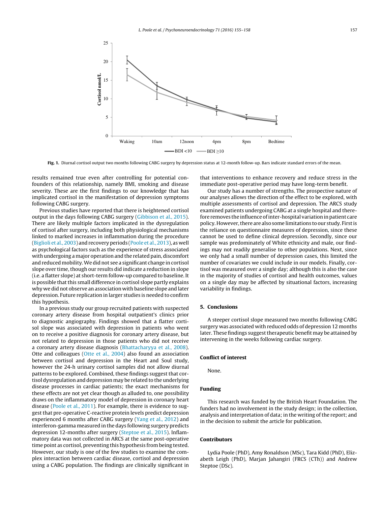<span id="page-3-0"></span>

**Fig. 1.** Diurnal cortisol output two months following CABG surgery by depression status at 12-month follow-up. Bars indicate standard errors of the mean.

results remained true even after controlling for potential confounders of this relationship, namely BMI, smoking and disease severity. These are the first findings to our knowledge that has implicated cortisol in the manifestation of depression symptoms following CABG surgery.

Previous studies have reported that there is heightened cortisol output in the days following CABG surgery [\(Gibbison](#page-4-0) et [al.,](#page-4-0) [2015\).](#page-4-0) There are likely multiple factors implicated in the dysregulation of cortisol after surgery, including both physiological mechanisms linked to marked increases in inflammation during the procedure ([Biglioli](#page-4-0) et [al.,](#page-4-0) [2003\)](#page-4-0) and recoveryperiods [\(Poole](#page-4-0) et [al.,](#page-4-0) [2013\),](#page-4-0) as well as psychological factors such as the experience of stress associated with undergoing a major operation and the related pain, discomfort and reduced mobility.We did not see a significant change in cortisol slope over time, though our results did indicate a reduction in slope (i.e. a flatter slope) at short-term follow-up compared to baseline. It is possible that this small difference in cortisol slope partly explains why we did not observe an association with baseline slope and later depression. Future replication in larger studies is needed to confirm this hypothesis.

In a previous study our group recruited patients with suspected coronary artery disease from hospital outpatient's clinics prior to diagnostic angiography. Findings showed that a flatter cortisol slope was associated with depression in patients who went on to receive a positive diagnosis for coronary artery disease, but not related to depression in those patients who did not receive a coronary artery disease diagnosis [\(Bhattacharyya](#page-4-0) et [al.,](#page-4-0) [2008\).](#page-4-0) Otte and colleagues ([Otte](#page-4-0) et [al.,](#page-4-0) [2004\)](#page-4-0) also found an association between cortisol and depression in the Heart and Soul study, however the 24-h urinary cortisol samples did not allow diurnal patterns to be explored. Combined, these findings suggest that cortisol dysregulation and depression may be related to the underlying disease processes in cardiac patients; the exact mechanisms for these effects are not yet clear though as alluded to, one possibility draws on the inflammatory model of depression in coronary heart disease ([Poole](#page-4-0) et [al.,](#page-4-0) [2011\).](#page-4-0) For example, there is evidence to suggest that pre-operative C-reactive protein levels predict depression experienced 6 months after CABG surgery [\(Yang](#page-4-0) et [al.,](#page-4-0) [2012\)](#page-4-0) and interferon-gamma measured in the days following surgery predicts depression 12-months after surgery ([Steptoe](#page-4-0) et [al.,](#page-4-0) [2015\).](#page-4-0) Inflammatory data was not collected in ARCS at the same post-operative time point as cortisol, preventing this hypothesis from being tested. However, our study is one of the few studies to examine the complex interaction between cardiac disease, cortisol and depression using a CABG population. The findings are clinically significant in

that interventions to enhance recovery and reduce stress in the immediate post-operative period may have long-term benefit.

Our study has a number of strengths. The prospective nature of our analyses allows the direction of the effect to be explored, with multiple assessments of cortisol and depression. The ARCS study examined patients undergoing CABG at a single hospital and therefore removes the influence of inter-hospital variation in patient care policy.However,there are also some limitations to our study. Firstis the reliance on questionnaire measures of depression, since these cannot be used to define clinical depression. Secondly, since our sample was predominately of White ethnicity and male, our findings may not readily generalise to other populations. Next, since we only had a small number of depression cases, this limited the number of covariates we could include in our models. Finally, cortisol was measured over a single day; although this is also the case in the majority of studies of cortisol and health outcomes, values on a single day may be affected by situational factors, increasing variability in findings.

#### **5. Conclusions**

A steeper cortisol slope measured two months following CABG surgery was associated with reduced odds of depression 12 months later. These findings suggest therapeutic benefit may be attained by intervening in the weeks following cardiac surgery.

#### **Conflict of interest**

None.

#### **Funding**

This research was funded by the British Heart Foundation. The funders had no involvement in the study design; in the collection, analysis and interpretation of data; in the writing of the report; and in the decision to submit the article for publication.

#### **Contributors**

Lydia Poole (PhD), Amy Ronaldson (MSc), Tara Kidd (PhD), Elizabeth Leigh (PhD), Marjan Jahangiri (FRCS (CTh)) and Andrew Steptoe (DSc).